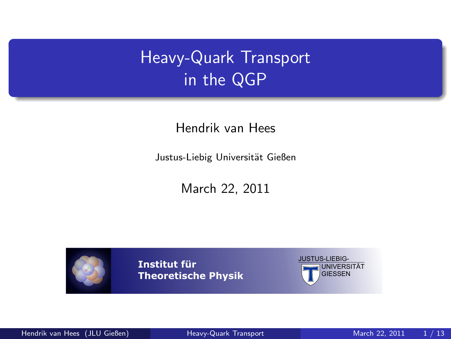# Heavy-Quark Transport in the QGP

Hendrik van Hees

Justus-Liebig Universität Gießen

March 22, 2011



**Institut für Theoretische Physik**

<span id="page-0-0"></span>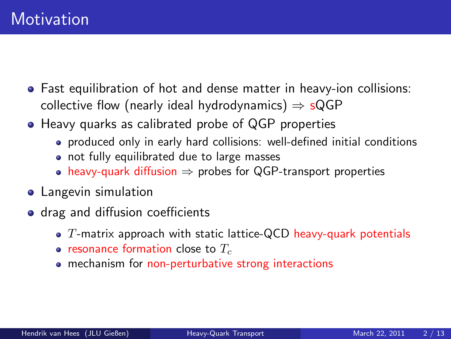- Fast equilibration of hot and dense matter in heavy-ion collisions: collective flow (nearly ideal hydrodynamics)  $\Rightarrow$  sQGP
- Heavy quarks as calibrated probe of QGP properties
	- produced only in early hard collisions: well-defined initial conditions
	- not fully equilibrated due to large masses
	- heavy-quark diffusion  $\Rightarrow$  probes for QGP-transport properties
- **•** Langevin simulation
- drag and diffusion coefficients
	- $\bullet$  T-matrix approach with static lattice-QCD heavy-quark potentials
	- resonance formation close to  $T_c$
	- mechanism for non-perturbative strong interactions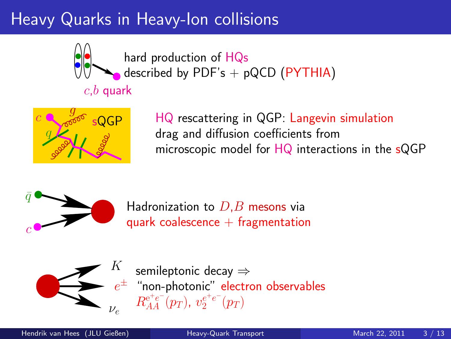# Heavy Quarks in Heavy-Ion collisions



hard production of HQs described by PDF's  $+$  pQCD (PYTHIA)

# $c,b$  quark



HQ rescattering in QGP: Langevin simulation drag and diffusion coefficients from microscopic model for HQ interactions in the sQGP



Hadronization to  $D,B$  mesons via quark coalescence  $+$  fragmentation



 $e^\pm$  "non-photonic" electron observables semileptonic decay ⇒  $R_{AA}^{\mathrm{e^+e^-}}(p_T),\ v_{2}^{e^+e^-}(p_T)$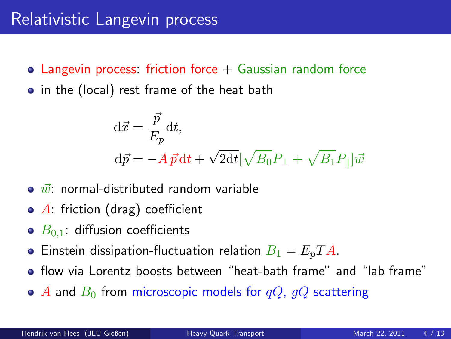- Langevin process: friction force  $+$  Gaussian random force
- in the (local) rest frame of the heat bath

$$
\begin{aligned} \mathbf{d}\vec{x} &= \frac{\vec{p}}{E_p} \mathbf{d}t, \\ \mathbf{d}\vec{p} &= -A\,\vec{p}\,\mathbf{d}t + \sqrt{2\mathbf{d}t} [\sqrt{B_0}P_\perp + \sqrt{B_1}P_\parallel]\vec{w} \end{aligned}
$$

- $\bullet$   $\vec{w}$ : normal-distributed random variable
- $\bullet$  A: friction (drag) coefficient
- $\bullet$   $B_{0,1}$ : diffusion coefficients
- **•** Einstein dissipation-fluctuation relation  $B_1 = E_p T A$ .
- flow via Lorentz boosts between "heat-bath frame" and "lab frame"
- $\bullet$  A and  $B_0$  from microscopic models for  $qQ$ ,  $qQ$  scattering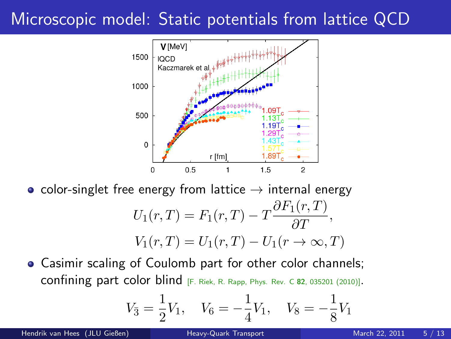## Microscopic model: Static potentials from lattice QCD



• color-singlet free energy from lattice  $\rightarrow$  internal energy

$$
U_1(r,T) = F_1(r,T) - T \frac{\partial F_1(r,T)}{\partial T},
$$
  

$$
V_1(r,T) = U_1(r,T) - U_1(r \to \infty, T)
$$

Casimir scaling of Coulomb part for other color channels; confining part color blind [F. Riek, R. Rapp, Phys. Rev. C <sup>82</sup>, 035201 (2010)].

$$
V_{\bar{3}} = \frac{1}{2}V_1
$$
,  $V_6 = -\frac{1}{4}V_1$ ,  $V_8 = -\frac{1}{8}V_1$ 

Hendrik van Hees (JLU Gießen) aan die [Heavy-Quark Transport](#page-0-0) March 22, 2011 5/13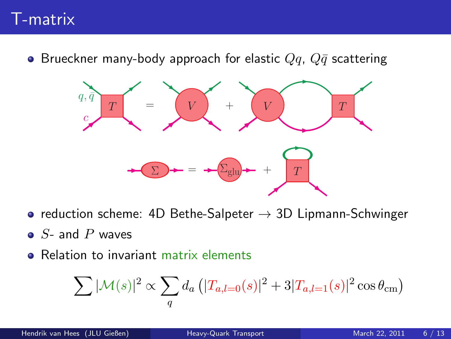#### T-matrix

**•** Brueckner many-body approach for elastic  $Qq$ ,  $Q\bar{q}$  scattering



- reduction scheme: 4D Bethe-Salpeter  $\rightarrow$  3D Lipmann-Schwinger
- $\bullet$  S- and P waves
- Relation to invariant matrix elements

$$
\sum |\mathcal{M}(s)|^2 \propto \sum_{q} d_a \left( |T_{a,l=0}(s)|^2 + 3|T_{a,l=1}(s)|^2 \cos \theta_{\rm cm} \right)
$$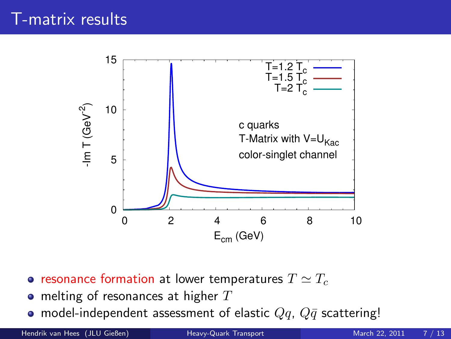

- resonance formation at lower temperatures  $T \simeq T_c$
- $\bullet$  melting of resonances at higher  $T$
- model-independent assessment of elastic  $Qq$ ,  $Q\bar{q}$  scattering!

Hendrik van Hees (JLU Gießen) [Heavy-Quark Transport](#page-0-0) March 22, 2011 7 / 13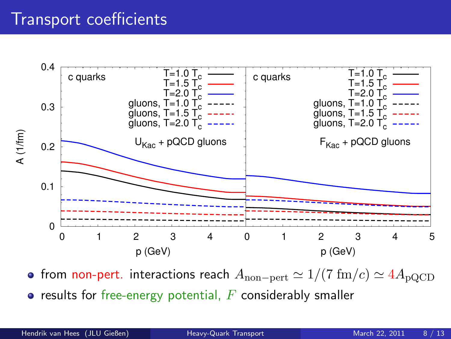#### Transport coefficients



• from non-pert. interactions reach  $A_{\text{non-pert}} \simeq 1/(7 \text{ fm}/c) \simeq 4A_{\text{pQCD}}$ 

 $\bullet$  results for free-energy potential,  $F$  considerably smaller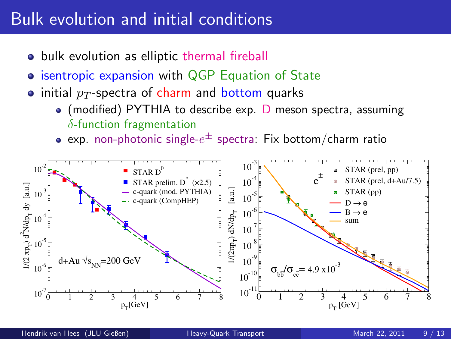#### Bulk evolution and initial conditions

- bulk evolution as elliptic thermal fireball
- **isentropic expansion with QGP Equation of State**
- initial  $p_T$ -spectra of charm and bottom quarks
	- $\bullet$  (modified) PYTHIA to describe exp. D meson spectra, assuming  $\delta$ -function fragmentation
	- exp. non-photonic single- $e^\pm$  spectra: Fix bottom/charm ratio

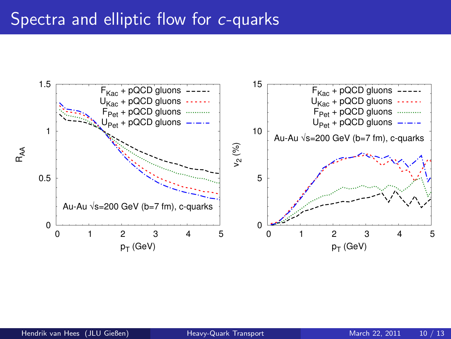#### Spectra and elliptic flow for c-quarks

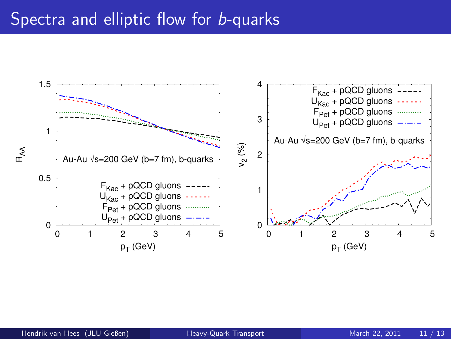#### Spectra and elliptic flow for **b-quarks**

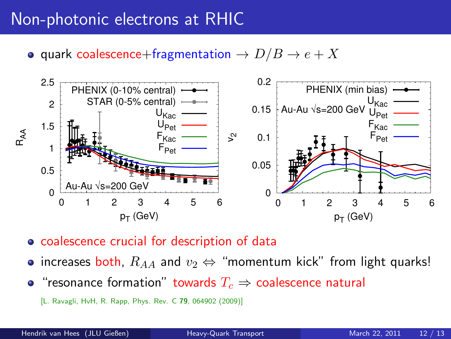#### Non-photonic electrons at RHIC

• quark coalescence+fragmentation  $\rightarrow D/B \rightarrow e + X$ 



- coalescence crucial for description of data
- increases both,  $R_{AA}$  and  $v_2 \Leftrightarrow$  "momentum kick" from light quarks!
- "resonance formation" towards  $T_c \Rightarrow$  coalescence natural
	- [L. Ravagli, HvH, R. Rapp, Phys. Rev. C 79, 064902 (2009)]